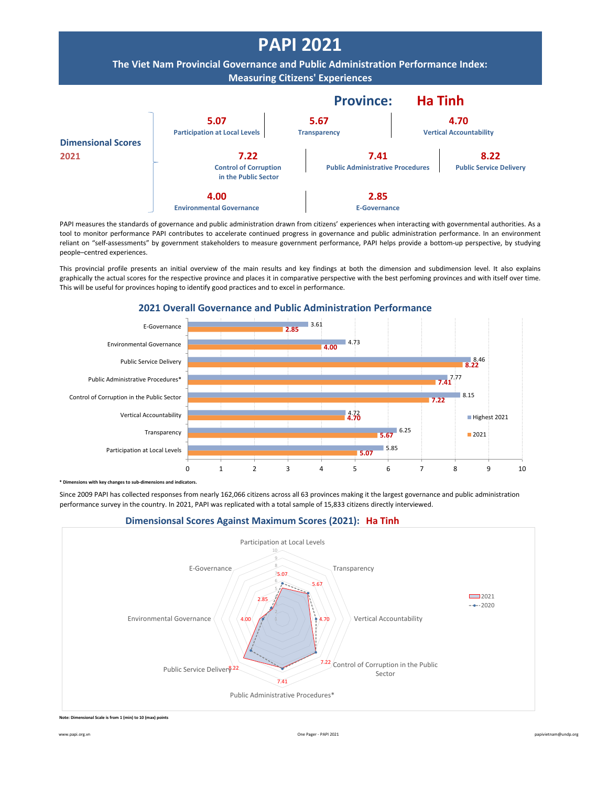

PAPI measures the standards of governance and public administration drawn from citizens' experiences when interacting with governmental authorities. As a tool to monitor performance PAPI contributes to accelerate continued progress in governance and public administration performance. In an environment reliant on "self-assessments" by government stakeholders to measure government performance, PAPI helps provide a bottom-up perspective, by studying people–centred experiences.

This provincial profile presents an initial overview of the main results and key findings at both the dimension and subdimension level. It also explains graphically the actual scores for the respective province and places it in comparative perspective with the best perfoming provinces and with itself over time. This will be useful for provinces hoping to identify good practices and to excel in performance.



## **2021 Overall Governance and Public Administration Performance**

**himethor with key changes to sub-dimensions and indicators** 

Since 2009 PAPI has collected responses from nearly 162,066 citizens across all 63 provinces making it the largest governance and public administration performance survey in the country. In 2021, PAPI was replicated with a total sample of 15,833 citizens directly interviewed.



## **Dimensionsal Scores Against Maximum Scores (2021): Ha Tinh**

**Note: Dimensional Scale is from 1 (min) to 10 (max) points**